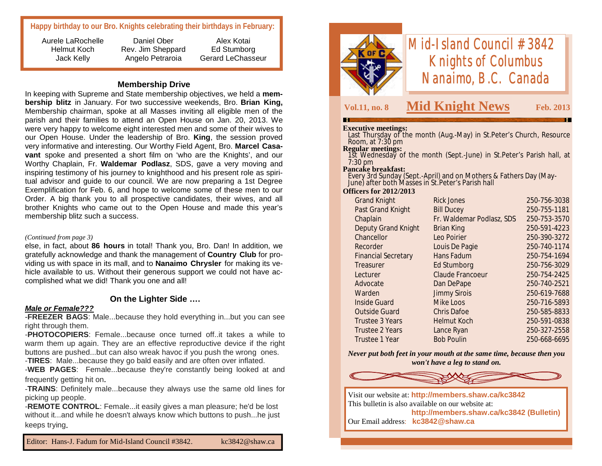**Happy birthday to our Bro. Knights celebrating their birthdays in February:**

Aurele LaRochelle Helmut Koch Jack Kelly

Daniel Ober Rev. Jim Sheppard Angelo Petraroia

Alex Kotai Ed Stumborg Gerard LeChasseur

#### **Membership Drive**

In keeping with Supreme and State membership objectives, we held a **membership blitz** in January. For two successive weekends, Bro. **Brian King,**  Membership chairman, spoke at all Masses inviting all eligible men of the parish and their families to attend an Open House on Jan. 20, 2013. We were very happy to welcome eight interested men and some of their wives to our Open House. Under the leadership of Bro. **King**, the session proved very informative and interesting. Our Worthy Field Agent, Bro. **Marcel Casavant** spoke and presented a short film on 'who are the Knights', and our Worthy Chaplain, Fr. **Waldemar Podlasz**, SDS, gave a very moving and inspiring testimony of his journey to knighthood and his present role as spiritual advisor and guide to our council. We are now preparing a 1st Degree Exemplification for Feb. 6, and hope to welcome some of these men to our Order. A big thank you to all prospective candidates, their wives, and all brother Knights who came out to the Open House and made this year's membership blitz such a success.

#### *(Continued from page 3)*

else, in fact, about **86 hours** in total! Thank you, Bro. Dan! In addition, we gratefully acknowledge and thank the management of **Country Club** for providing us with space in its mall, and to **Nanaimo Chrysler** for making its vehicle available to us. Without their generous support we could not have accomplished what we did! Thank you one and all!

# **On the Lighter Side ….**

#### *Male or Female???*

-**FREEZER BAGS**: Male...because they hold everything in...but you can see right through them.

-**PHOTOCOPIERS**: Female...because once turned off..it takes a while to warm them up again. They are an effective reproductive device if the right buttons are pushed...but can also wreak havoc if you push the wrong ones.

-**TIRES**: Male...because they go bald easily and are often over inflated.

-**WEB PAGES**: Female...because they're constantly being looked at and frequently getting hit on.

-**TRAINS**: Definitely male...because they always use the same old lines for picking up people.

-**REMOTE CONTROL**: Female...it easily gives a man pleasure; he'd be lost without it...and while he doesn't always know which buttons to push...he just keeps trying.



# *Mid-Island Council #3842 Knights of Columbus Nanaimo, B.C. Canada*

# **Vol.11, no. 8 Mid Knight News Feb. 2013**

#### **Executive meetings:**

 Last Thursday of the month (Aug.-May) in St.Peter's Church, Resource Room, at 7:30 pm

#### **Regular meetings:**

 1st Wednesday of the month (Sept.-June) in St.Peter's Parish hall, at 7:30 pm

#### **Pancake breakfast:**

 Every 3rd Sunday (Sept.-April) and on Mothers & Fathers Day (May-June) after both Masses in St.Peter's Parish hall

#### **Officers for 2012/2013**

| <b>Grand Knight</b>        | <b>Rick Jones</b>         | 250-756-3038 |
|----------------------------|---------------------------|--------------|
| Past Grand Knight          | <b>Bill Ducey</b>         | 250-755-1181 |
| Chaplain                   | Fr. Waldemar Podlasz, SDS | 250-753-3570 |
| <b>Deputy Grand Knight</b> | <b>Brian King</b>         | 250-591-4223 |
| Chancellor                 | Leo Poirier               | 250-390-3272 |
| Recorder                   | Louis De Pagie            | 250-740-1174 |
| <b>Financial Secretary</b> | Hans Fadum                | 250-754-1694 |
| Treasurer                  | Ed Stumborg               | 250-756-3029 |
| Lecturer                   | <b>Claude Francoeur</b>   | 250-754-2425 |
| Advocate                   | Dan DePape                | 250-740-2521 |
| Warden                     | <b>Jimmy Sirois</b>       | 250-619-7688 |
| <b>Inside Guard</b>        | Mike Loos                 | 250-716-5893 |
| <b>Outside Guard</b>       | <b>Chris Dafoe</b>        | 250-585-8833 |
| Trustee 3 Years            | <b>Helmut Koch</b>        | 250-591-0838 |
| <b>Trustee 2 Years</b>     | Lance Ryan                | 250-327-2558 |
| Trustee 1 Year             | <b>Bob Poulin</b>         | 250-668-6695 |
|                            |                           |              |

*Never put both feet in your mouth at the same time, because then you won't have a leg to stand on.* 



Visit our website at: **http://members.shaw.ca/kc3842** This bulletin is also available on our website at: **http://members.shaw.ca/kc3842 (Bulletin)** Our Email address: **kc3842@shaw.ca**